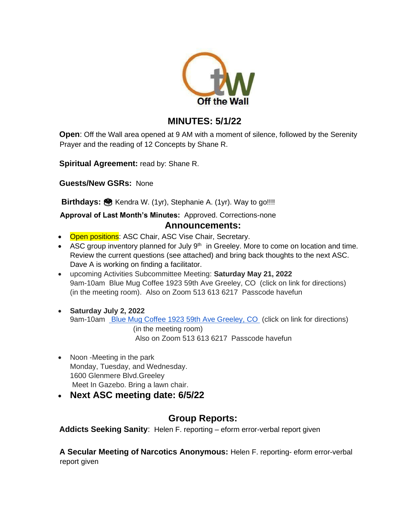

# **MINUTES: 5/1/22**

**Open**: Off the Wall area opened at 9 AM with a moment of silence, followed by the Serenity Prayer and the reading of 12 Concepts by Shane R.

**Spiritual Agreement:** read by: Shane R.

**Guests/New GSRs:** None

Birthdays: **B** Kendra W. (1yr), Stephanie A. (1yr). Way to go!!!!

#### **Approval of Last Month's Minutes:** Approved. Corrections-none **Announcements:**

- Open positions: ASC Chair, ASC Vise Chair, Secretary.
- ASC group inventory planned for July  $9<sup>th</sup>$  in Greeley. More to come on location and time. Review the current questions (see attached) and bring back thoughts to the next ASC. Dave A is working on finding a facilitator.
- upcoming Activities Subcommittee Meeting: **Saturday May 21, 2022** 9am-10am Blue Mug Coffee 1923 59th Ave Greeley, CO (click on link for directions) (in the meeting room). Also on Zoom 513 613 6217 Passcode havefun
- **Saturday July 2, 2022** 9am-10am [Blue Mug Coffee 1923 59th Ave Greeley, CO](https://www.google.com/maps/dir/40.4258816,-104.7298048/Blue+Mug+Coffee+1923+59th+Ave+Greeley,+CO/@40.4184241,-104.788103,13z/data=!3m1!4b1!4m9!4m8!1m1!4e1!1m5!1m1!1s0x876ea69fe2d74b39:0xc7dbc1ad43586d70!2m2!1d-104.7761911!2d40.4074837) (click on link for directions) (in the meeting room) Also on Zoom 513 613 6217 Passcode havefun
- Noon -Meeting in the park Monday, Tuesday, and Wednesday. 1600 Glenmere Blvd.Greeley Meet In Gazebo. Bring a lawn chair.
- **Next ASC meeting date: 6/5/22**

## **Group Reports:**

**Addicts Seeking Sanity**: Helen F. reporting – eform error-verbal report given

**A Secular Meeting of Narcotics Anonymous:** Helen F. reporting- eform error-verbal report given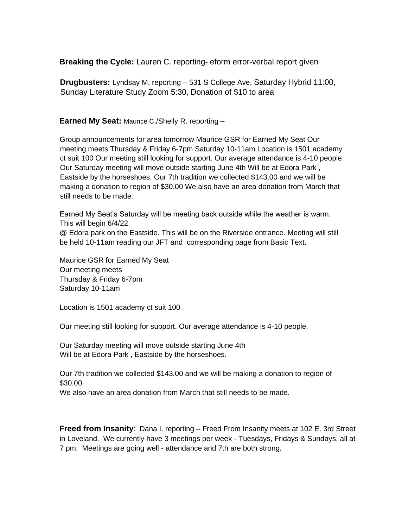**Breaking the Cycle:** Lauren C. reporting- eform error-verbal report given

**Drugbusters:** Lyndsay M. reporting – 531 S College Ave, Saturday Hybrid 11:00, Sunday Literature Study Zoom 5:30, Donation of \$10 to area

**Earned My Seat:** Maurice C./Shelly R. reporting –

Group announcements for area tomorrow Maurice GSR for Earned My Seat Our meeting meets Thursday & Friday 6-7pm Saturday 10-11am Location is 1501 academy ct suit 100 Our meeting still looking for support. Our average attendance is 4-10 people. Our Saturday meeting will move outside starting June 4th Will be at Edora Park , Eastside by the horseshoes. Our 7th tradition we collected \$143.00 and we will be making a donation to region of \$30.00 We also have an area donation from March that still needs to be made.

Earned My Seat's Saturday will be meeting back outside while the weather is warm. This will begin 6/4/22 @ Edora park on the Eastside. This will be on the Riverside entrance. Meeting will still be held 10-11am reading our JFT and corresponding page from Basic Text.

Maurice GSR for Earned My Seat Our meeting meets Thursday & Friday 6-7pm Saturday 10-11am

Location is 1501 academy ct suit 100

Our meeting still looking for support. Our average attendance is 4-10 people.

Our Saturday meeting will move outside starting June 4th Will be at Edora Park , Eastside by the horseshoes.

Our 7th tradition we collected \$143.00 and we will be making a donation to region of \$30.00

We also have an area donation from March that still needs to be made.

**Freed from Insanity**: Dana I. reporting – Freed From Insanity meets at 102 E. 3rd Street in Loveland. We currently have 3 meetings per week - Tuesdays, Fridays & Sundays, all at 7 pm. Meetings are going well - attendance and 7th are both strong.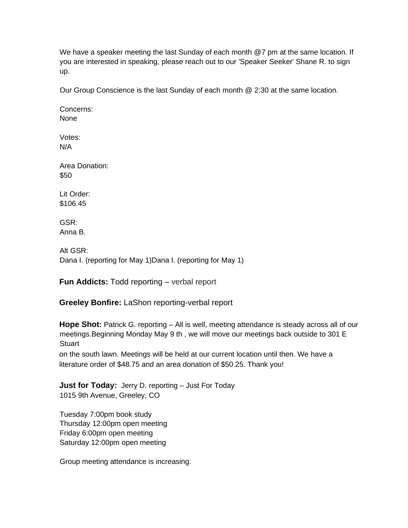We have a speaker meeting the last Sunday of each month @7 pm at the same location. If you are interested in speaking, please reach out to our 'Speaker Seeker' Shane R. to sign up.

Our Group Conscience is the last Sunday of each month @ 2:30 at the same location.

Concerns: None

Votes: N/A

Area Donation: \$50

Lit Order: \$106.45

GSR: Anna B.

Alt GSR: Dana I. (reporting for May 1)Dana I. (reporting for May 1)

**Fun Addicts:** Todd reporting – verbal report

**Greeley Bonfire:** LaShon reporting-verbal report

**Hope Shot:** Patrick G. reporting – All is well, meeting attendance is steady across all of our meetings.Beginning Monday May 9 th , we will move our meetings back outside to 301 E **Stuart** 

on the south lawn. Meetings will be held at our current location until then. We have a literature order of \$48.75 and an area donation of \$50.25. Thank you!

**Just for Today:** Jerry D. reporting – Just For Today 1015 9th Avenue, Greeley, CO

Tuesday 7:00pm book study Thursday 12:00pm open meeting Friday 6:00pm open meeting Saturday 12:00pm open meeting

Group meeting attendance is increasing.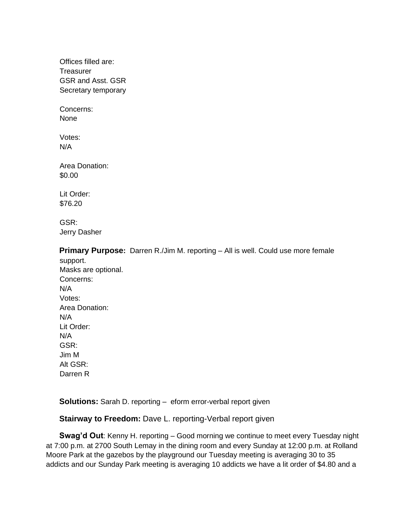Offices filled are: **Treasurer** GSR and Asst. GSR Secretary temporary

Concerns: None

Votes: N/A

Area Donation: \$0.00

Lit Order: \$76.20

GSR: Jerry Dasher

**Primary Purpose:** Darren R./Jim M. reporting – All is well. Could use more female support.

Masks are optional. Concerns: N/A Votes: Area Donation: N/A Lit Order: N/A GSR: Jim M Alt GSR: Darren R

**Solutions:** Sarah D. reporting – eform error-verbal report given

**Stairway to Freedom:** Dave L. reporting-Verbal report given

**Swag'd Out**: Kenny H. reporting – Good morning we continue to meet every Tuesday night at 7:00 p.m. at 2700 South Lemay in the dining room and every Sunday at 12:00 p.m. at Rolland Moore Park at the gazebos by the playground our Tuesday meeting is averaging 30 to 35 addicts and our Sunday Park meeting is averaging 10 addicts we have a lit order of \$4.80 and a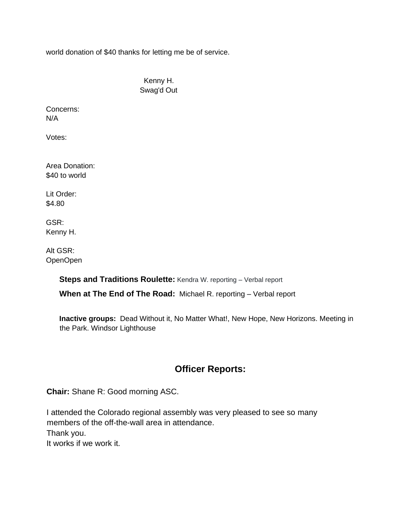world donation of \$40 thanks for letting me be of service.

Kenny H. Swag'd Out

Concerns: N/A

Votes:

Area Donation: \$40 to world

Lit Order: \$4.80

GSR: Kenny H.

Alt GSR: OpenOpen

> **Steps and Traditions Roulette:** Kendra W. reporting - Verbal report **When at The End of The Road:** Michael R. reporting – Verbal report

**Inactive groups:** Dead Without it, No Matter What!, New Hope, New Horizons. Meeting in the Park. Windsor Lighthouse

## **Officer Reports:**

**Chair:** Shane R: Good morning ASC.

I attended the Colorado regional assembly was very pleased to see so many members of the off-the-wall area in attendance. Thank you. It works if we work it.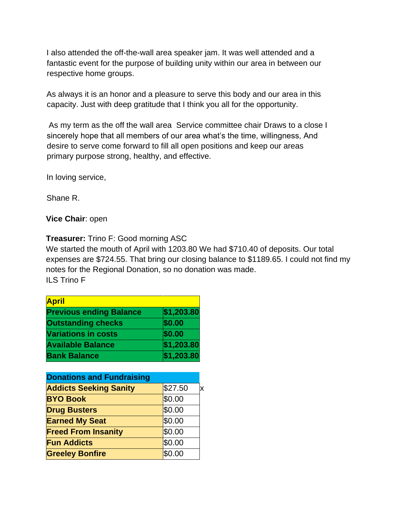I also attended the off-the-wall area speaker jam. It was well attended and a fantastic event for the purpose of building unity within our area in between our respective home groups.

As always it is an honor and a pleasure to serve this body and our area in this capacity. Just with deep gratitude that I think you all for the opportunity.

As my term as the off the wall area Service committee chair Draws to a close I sincerely hope that all members of our area what's the time, willingness, And desire to serve come forward to fill all open positions and keep our areas primary purpose strong, healthy, and effective.

In loving service,

Shane R.

**Vice Chair**: open

**Treasurer:** Trino F: Good morning ASC

We started the mouth of April with 1203.80 We had \$710.40 of deposits. Our total expenses are \$724.55. That bring our closing balance to \$1189.65. I could not find my notes for the Regional Donation, so no donation was made. ILS Trino F

| <b>April</b>                   |            |  |
|--------------------------------|------------|--|
| <b>Previous ending Balance</b> | \$1,203.80 |  |
| <b>Outstanding checks</b>      | \$0.00     |  |
| <b>Variations in costs</b>     | \$0.00     |  |
| <b>Available Balance</b>       | \$1,203.80 |  |
| <b>Bank Balance</b>            | \$1,203.80 |  |

| <b>Donations and Fundraising</b> |         |  |  |
|----------------------------------|---------|--|--|
| <b>Addicts Seeking Sanity</b>    | \$27.50 |  |  |
| <b>BYO Book</b>                  | \$0.00  |  |  |
| <b>Drug Busters</b>              | \$0.00  |  |  |
| <b>Earned My Seat</b>            | \$0.00  |  |  |
| <b>Freed From Insanity</b>       | \$0.00  |  |  |
| <b>Fun Addicts</b>               | \$0.00  |  |  |
| <b>Greeley Bonfire</b>           | \$0.00  |  |  |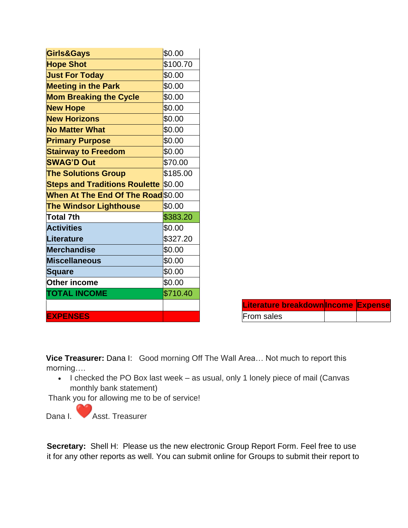| \$0.00                                      |
|---------------------------------------------|
| \$100.70                                    |
| \$0.00                                      |
| \$0.00                                      |
| \$0.00                                      |
| \$0.00                                      |
| \$0.00                                      |
| \$0.00                                      |
| \$0.00                                      |
| \$0.00                                      |
| \$70.00                                     |
| \$185.00                                    |
| <b>Steps and Traditions Roulette \$0.00</b> |
| When At The End Of The Road \$0.00          |
| \$0.00                                      |
| \$383.20                                    |
| \$0.00                                      |
| \$327.20                                    |
| \$0.00                                      |
| \$0.00                                      |
| \$0.00                                      |
| \$0.00                                      |
| \$710.40                                    |
|                                             |
|                                             |
|                                             |

| Literature breakdown Income Expense |  |
|-------------------------------------|--|
| From sales                          |  |

**Vice Treasurer:** Dana I: Good morning Off The Wall Area… Not much to report this morning….

• I checked the PO Box last week – as usual, only 1 lonely piece of mail (Canvas monthly bank statement)

Thank you for allowing me to be of service!

Dana I. **Asst. Treasurer** 

**Secretary:** Shell H: Please us the new electronic Group Report Form. Feel free to use it for any other reports as well. You can submit online for Groups to submit their report to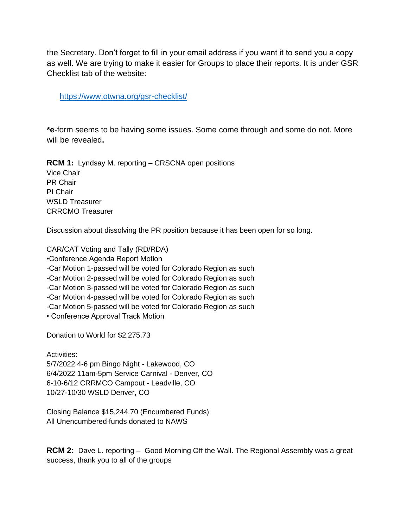the Secretary. Don't forget to fill in your email address if you want it to send you a copy as well. We are trying to make it easier for Groups to place their reports. It is under GSR Checklist tab of the website:

<https://www.otwna.org/gsr-checklist/>

**\*e**-form seems to be having some issues. Some come through and some do not. More will be revealed**.**

**RCM 1:** Lyndsay M. reporting – CRSCNA open positions Vice Chair PR Chair PI Chair WSLD Treasurer CRRCMO Treasurer

Discussion about dissolving the PR position because it has been open for so long.

CAR/CAT Voting and Tally (RD/RDA)

•Conference Agenda Report Motion

-Car Motion 1-passed will be voted for Colorado Region as such

-Car Motion 2-passed will be voted for Colorado Region as such

-Car Motion 3-passed will be voted for Colorado Region as such

-Car Motion 4-passed will be voted for Colorado Region as such

-Car Motion 5-passed will be voted for Colorado Region as such

• Conference Approval Track Motion

Donation to World for \$2,275.73

Activities: 5/7/2022 4-6 pm Bingo Night - Lakewood, CO 6/4/2022 11am-5pm Service Carnival - Denver, CO 6-10-6/12 CRRMCO Campout - Leadville, CO 10/27-10/30 WSLD Denver, CO

Closing Balance \$15,244.70 (Encumbered Funds) All Unencumbered funds donated to NAWS

**RCM 2:** Dave L. reporting – Good Morning Off the Wall. The Regional Assembly was a great success, thank you to all of the groups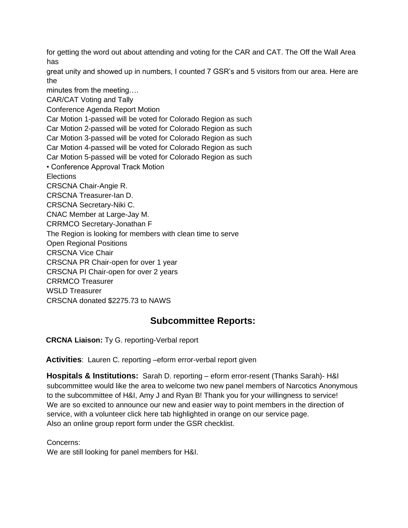for getting the word out about attending and voting for the CAR and CAT. The Off the Wall Area has

great unity and showed up in numbers, I counted 7 GSR's and 5 visitors from our area. Here are the

minutes from the meeting….

CAR/CAT Voting and Tally

Conference Agenda Report Motion

Car Motion 1-passed will be voted for Colorado Region as such Car Motion 2-passed will be voted for Colorado Region as such

Car Motion 3-passed will be voted for Colorado Region as such

Car Motion 4-passed will be voted for Colorado Region as such

Car Motion 5-passed will be voted for Colorado Region as such

• Conference Approval Track Motion

**Elections** 

CRSCNA Chair-Angie R.

CRSCNA Treasurer-Ian D.

CRSCNA Secretary-Niki C.

CNAC Member at Large-Jay M.

CRRMCO Secretary-Jonathan F

The Region is looking for members with clean time to serve

Open Regional Positions

CRSCNA Vice Chair

CRSCNA PR Chair-open for over 1 year

CRSCNA PI Chair-open for over 2 years

CRRMCO Treasurer

WSLD Treasurer

CRSCNA donated \$2275.73 to NAWS

## **Subcommittee Reports:**

**CRCNA Liaison:** Ty G. reporting-Verbal report

**Activities**: Lauren C. reporting –eform error-verbal report given

**Hospitals & Institutions:** Sarah D. reporting – eform error-resent (Thanks Sarah)- H&I subcommittee would like the area to welcome two new panel members of Narcotics Anonymous to the subcommittee of H&I, Amy J and Ryan B! Thank you for your willingness to service! We are so excited to announce our new and easier way to point members in the direction of service, with a volunteer click here tab highlighted in orange on our service page. Also an online group report form under the GSR checklist.

Concerns:

We are still looking for panel members for H&I.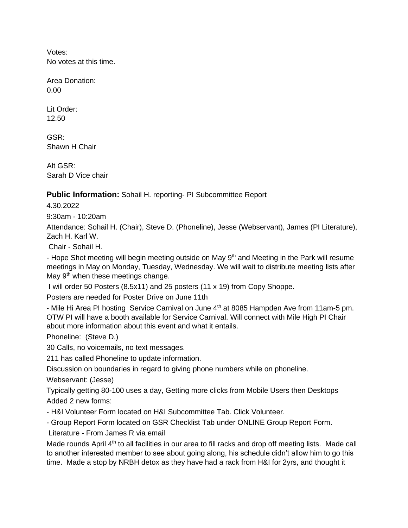Votes: No votes at this time.

Area Donation: 0.00

Lit Order: 12.50

GSR: Shawn H Chair

Alt GSR: Sarah D Vice chair

### **Public Information:** Sohail H. reporting- PI Subcommittee Report

4.30.2022

9:30am - 10:20am

Attendance: Sohail H. (Chair), Steve D. (Phoneline), Jesse (Webservant), James (PI Literature), Zach H. Karl W.

Chair - Sohail H.

- Hope Shot meeting will begin meeting outside on May 9<sup>th</sup> and Meeting in the Park will resume meetings in May on Monday, Tuesday, Wednesday. We will wait to distribute meeting lists after May  $9<sup>th</sup>$  when these meetings change.

I will order 50 Posters (8.5x11) and 25 posters (11 x 19) from Copy Shoppe.

Posters are needed for Poster Drive on June 11th

- Mile Hi Area PI hosting Service Carnival on June 4<sup>th</sup> at 8085 Hampden Ave from 11am-5 pm. OTW PI will have a booth available for Service Carnival. Will connect with Mile High PI Chair about more information about this event and what it entails.

Phoneline: (Steve D.)

30 Calls, no voicemails, no text messages.

211 has called Phoneline to update information.

Discussion on boundaries in regard to giving phone numbers while on phoneline.

Webservant: (Jesse)

Typically getting 80-100 uses a day, Getting more clicks from Mobile Users then Desktops Added 2 new forms:

- H&I Volunteer Form located on H&I Subcommittee Tab. Click Volunteer.

- Group Report Form located on GSR Checklist Tab under ONLINE Group Report Form.

Literature - From James R via email

Made rounds April 4<sup>th</sup> to all facilities in our area to fill racks and drop off meeting lists. Made call to another interested member to see about going along, his schedule didn't allow him to go this time. Made a stop by NRBH detox as they have had a rack from H&I for 2yrs, and thought it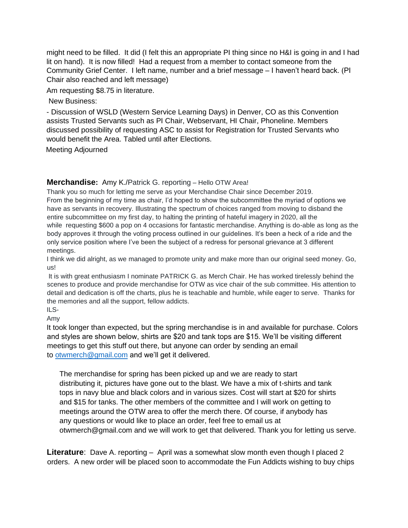might need to be filled. It did (I felt this an appropriate PI thing since no H&I is going in and I had lit on hand). It is now filled! Had a request from a member to contact someone from the Community Grief Center. I left name, number and a brief message – I haven't heard back. (PI Chair also reached and left message)

Am requesting \$8.75 in literature.

New Business:

- Discussion of WSLD (Western Service Learning Days) in Denver, CO as this Convention assists Trusted Servants such as PI Chair, Webservant, HI Chair, Phoneline. Members discussed possibility of requesting ASC to assist for Registration for Trusted Servants who would benefit the Area. Tabled until after Elections.

Meeting Adjourned

#### **Merchandise:** Amy K./Patrick G. reporting – Hello OTW Area!

Thank you so much for letting me serve as your Merchandise Chair since December 2019. From the beginning of my time as chair, I'd hoped to show the subcommittee the myriad of options we have as servants in recovery. Illustrating the spectrum of choices ranged from moving to disband the entire subcommittee on my first day, to halting the printing of hateful imagery in 2020, all the while requesting \$600 a pop on 4 occasions for fantastic merchandise. Anything is do-able as long as the body approves it through the voting process outlined in our guidelines. It's been a heck of a ride and the only service position where I've been the subject of a redress for personal grievance at 3 different meetings.

I think we did alright, as we managed to promote unity and make more than our original seed money. Go, us!

It is with great enthusiasm I nominate PATRICK G. as Merch Chair. He has worked tirelessly behind the scenes to produce and provide merchandise for OTW as vice chair of the sub committee. His attention to detail and dedication is off the charts, plus he is teachable and humble, while eager to serve. Thanks for the memories and all the support, fellow addicts.

 $II$  S-Amy

It took longer than expected, but the spring merchandise is in and available for purchase. Colors and styles are shown below, shirts are \$20 and tank tops are \$15. We'll be visiting different meetings to get this stuff out there, but anyone can order by sending an email to [otwmerch@gmail.com](mailto:otwmerch@gmail.com) and we'll get it delivered.

The merchandise for spring has been picked up and we are ready to start distributing it, pictures have gone out to the blast. We have a mix of t-shirts and tank tops in navy blue and black colors and in various sizes. Cost will start at \$20 for shirts and \$15 for tanks. The other members of the committee and I will work on getting to meetings around the OTW area to offer the merch there. Of course, if anybody has any questions or would like to place an order, feel free to email us at otwmerch@gmail.com and we will work to get that delivered. Thank you for letting us serve.

**Literature**: Dave A. reporting – April was a somewhat slow month even though I placed 2 orders. A new order will be placed soon to accommodate the Fun Addicts wishing to buy chips